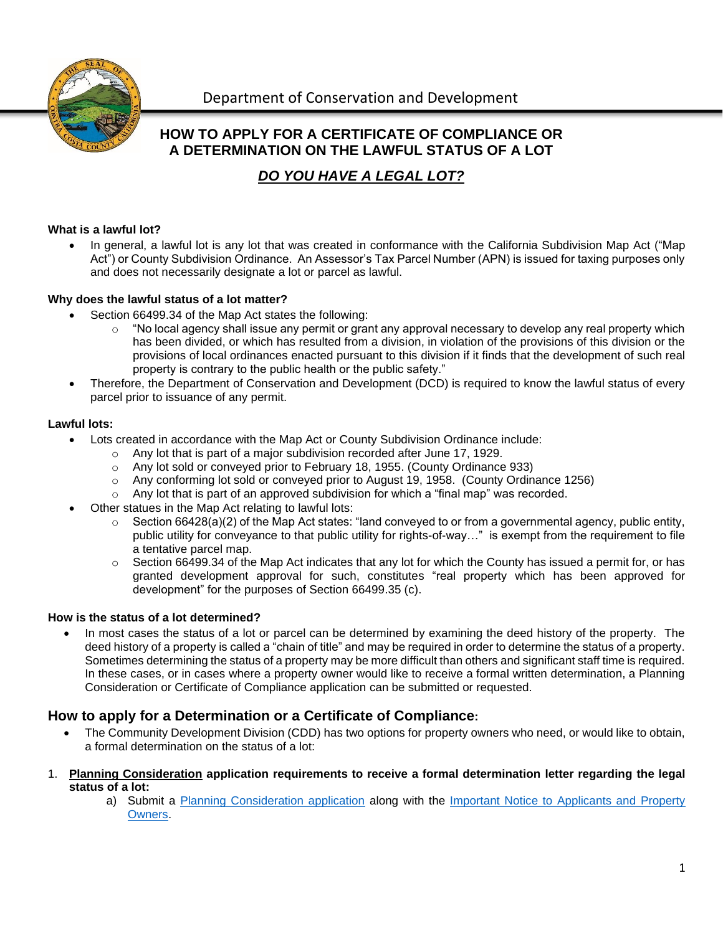

## **HOW TO APPLY FOR A CERTIFICATE OF COMPLIANCE OR A DETERMINATION ON THE LAWFUL STATUS OF A LOT**

# *DO YOU HAVE A LEGAL LOT?*

#### **What is a lawful lot?**

• In general, a lawful lot is any lot that was created in conformance with the California Subdivision Map Act ("Map Act") or County Subdivision Ordinance. An Assessor's Tax Parcel Number (APN) is issued for taxing purposes only and does not necessarily designate a lot or parcel as lawful.

#### **Why does the lawful status of a lot matter?**

- Section 66499.34 of the Map Act states the following:
	- $\circ$  "No local agency shall issue any permit or grant any approval necessary to develop any real property which has been divided, or which has resulted from a division, in violation of the provisions of this division or the provisions of local ordinances enacted pursuant to this division if it finds that the development of such real property is contrary to the public health or the public safety."
- Therefore, the Department of Conservation and Development (DCD) is required to know the lawful status of every parcel prior to issuance of any permit.

#### **Lawful lots:**

- Lots created in accordance with the Map Act or County Subdivision Ordinance include:
	- o Any lot that is part of a major subdivision recorded after June 17, 1929.
	- o Any lot sold or conveyed prior to February 18, 1955. (County Ordinance 933)
	- o Any conforming lot sold or conveyed prior to August 19, 1958. (County Ordinance 1256)
	- $\circ$  Any lot that is part of an approved subdivision for which a "final map" was recorded.
- Other statues in the Map Act relating to lawful lots:
	- $\circ$  Section 66428(a)(2) of the Map Act states: "land conveyed to or from a governmental agency, public entity, public utility for conveyance to that public utility for rights-of-way…" is exempt from the requirement to file a tentative parcel map.
	- $\circ$  Section 66499.34 of the Map Act indicates that any lot for which the County has issued a permit for, or has granted development approval for such, constitutes "real property which has been approved for development" for the purposes of Section 66499.35 (c).

#### **How is the status of a lot determined?**

In most cases the status of a lot or parcel can be determined by examining the deed history of the property. The deed history of a property is called a "chain of title" and may be required in order to determine the status of a property. Sometimes determining the status of a property may be more difficult than others and significant staff time is required. In these cases, or in cases where a property owner would like to receive a formal written determination, a Planning Consideration or Certificate of Compliance application can be submitted or requested.

### **How to apply for a Determination or a Certificate of Compliance:**

- The Community Development Division (CDD) has two options for property owners who need, or would like to obtain, a formal determination on the status of a lot:
- 1. **Planning Consideration application requirements to receive a formal determination letter regarding the legal status of a lot:**
	- a) Submit a [Planning Consideration application](https://www.contracosta.ca.gov/DocumentCenter/View/61975/Planning_Application-Fillable-PDF_092619) along with the [Important Notice to Applicants and Property](https://www.contracosta.ca.gov/DocumentCenter/View/1090)  [Owners.](https://www.contracosta.ca.gov/DocumentCenter/View/1090)